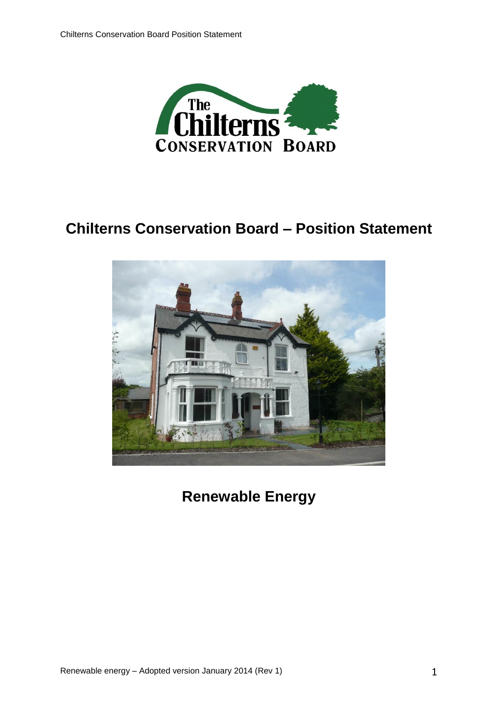

# **Chilterns Conservation Board – Position Statement**



**Renewable Energy**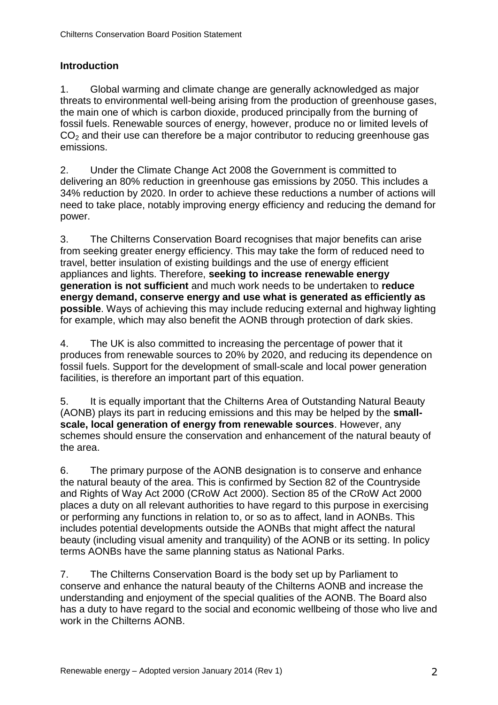# **Introduction**

1. Global warming and climate change are generally acknowledged as major threats to environmental well-being arising from the production of greenhouse gases, the main one of which is carbon dioxide, produced principally from the burning of fossil fuels. Renewable sources of energy, however, produce no or limited levels of  $CO<sub>2</sub>$  and their use can therefore be a major contributor to reducing greenhouse gas emissions.

2. Under the Climate Change Act 2008 the Government is committed to delivering an 80% reduction in greenhouse gas emissions by 2050. This includes a 34% reduction by 2020. In order to achieve these reductions a number of actions will need to take place, notably improving energy efficiency and reducing the demand for power.

3. The Chilterns Conservation Board recognises that major benefits can arise from seeking greater energy efficiency. This may take the form of reduced need to travel, better insulation of existing buildings and the use of energy efficient appliances and lights. Therefore, **seeking to increase renewable energy generation is not sufficient** and much work needs to be undertaken to **reduce energy demand, conserve energy and use what is generated as efficiently as possible**. Ways of achieving this may include reducing external and highway lighting for example, which may also benefit the AONB through protection of dark skies.

4. The UK is also committed to increasing the percentage of power that it produces from renewable sources to 20% by 2020, and reducing its dependence on fossil fuels. Support for the development of small-scale and local power generation facilities, is therefore an important part of this equation.

5. It is equally important that the Chilterns Area of Outstanding Natural Beauty (AONB) plays its part in reducing emissions and this may be helped by the **smallscale, local generation of energy from renewable sources**. However, any schemes should ensure the conservation and enhancement of the natural beauty of the area.

6. The primary purpose of the AONB designation is to conserve and enhance the natural beauty of the area. This is confirmed by Section 82 of the Countryside and Rights of Way Act 2000 (CRoW Act 2000). Section 85 of the CRoW Act 2000 places a duty on all relevant authorities to have regard to this purpose in exercising or performing any functions in relation to, or so as to affect, land in AONBs. This includes potential developments outside the AONBs that might affect the natural beauty (including visual amenity and tranquility) of the AONB or its setting. In policy terms AONBs have the same planning status as National Parks.

7. The Chilterns Conservation Board is the body set up by Parliament to conserve and enhance the natural beauty of the Chilterns AONB and increase the understanding and enjoyment of the special qualities of the AONB. The Board also has a duty to have regard to the social and economic wellbeing of those who live and work in the Chilterns AONB.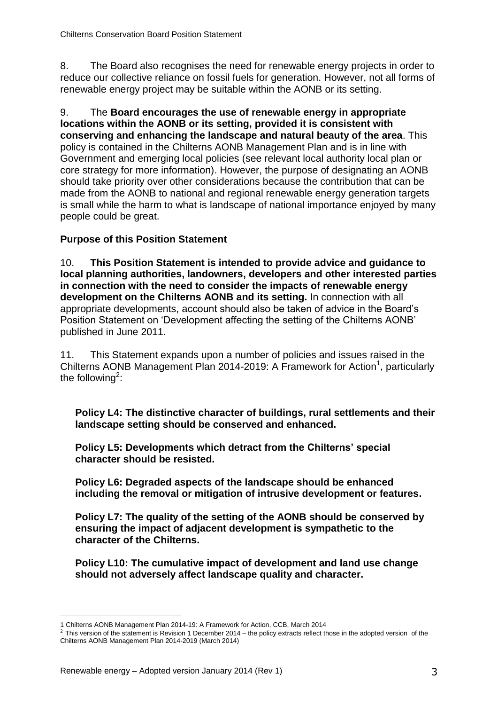8. The Board also recognises the need for renewable energy projects in order to reduce our collective reliance on fossil fuels for generation. However, not all forms of renewable energy project may be suitable within the AONB or its setting.

9. The **Board encourages the use of renewable energy in appropriate locations within the AONB or its setting, provided it is consistent with conserving and enhancing the landscape and natural beauty of the area**. This policy is contained in the Chilterns AONB Management Plan and is in line with Government and emerging local policies (see relevant local authority local plan or core strategy for more information). However, the purpose of designating an AONB should take priority over other considerations because the contribution that can be made from the AONB to national and regional renewable energy generation targets is small while the harm to what is landscape of national importance enjoyed by many people could be great.

# **Purpose of this Position Statement**

10. **This Position Statement is intended to provide advice and guidance to local planning authorities, landowners, developers and other interested parties in connection with the need to consider the impacts of renewable energy development on the Chilterns AONB and its setting.** In connection with all appropriate developments, account should also be taken of advice in the Board's Position Statement on 'Development affecting the setting of the Chilterns AONB' published in June 2011.

11. This Statement expands upon a number of policies and issues raised in the Chilterns AONB Management Plan 2014-2019: A Framework for Action<sup>1</sup>, particularly the following<sup>2</sup>:

**Policy L4: The distinctive character of buildings, rural settlements and their landscape setting should be conserved and enhanced.**

**Policy L5: Developments which detract from the Chilterns' special character should be resisted.**

**Policy L6: Degraded aspects of the landscape should be enhanced including the removal or mitigation of intrusive development or features.**

**Policy L7: The quality of the setting of the AONB should be conserved by ensuring the impact of adjacent development is sympathetic to the character of the Chilterns.**

**Policy L10: The cumulative impact of development and land use change should not adversely affect landscape quality and character.**

<sup>-</sup>1 Chilterns AONB Management Plan 2014-19: A Framework for Action, CCB, March 2014

<sup>&</sup>lt;sup>2</sup> This version of the statement is Revision 1 December 2014 – the policy extracts reflect those in the adopted version of the Chilterns AONB Management Plan 2014-2019 (March 2014)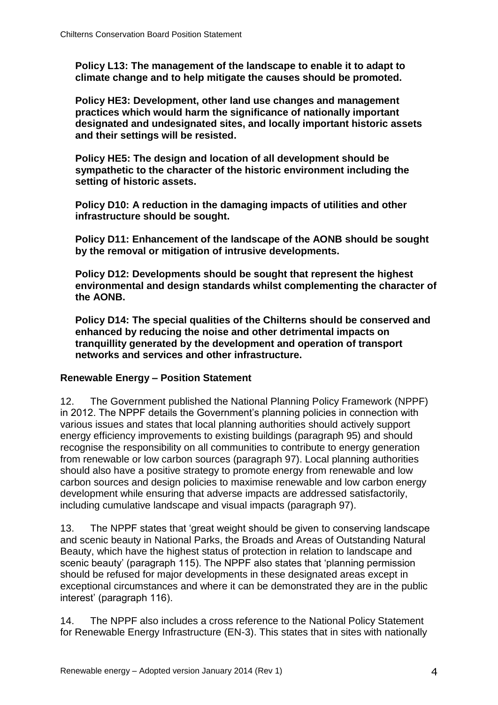**Policy L13: The management of the landscape to enable it to adapt to climate change and to help mitigate the causes should be promoted.**

**Policy HE3: Development, other land use changes and management practices which would harm the significance of nationally important designated and undesignated sites, and locally important historic assets and their settings will be resisted.**

**Policy HE5: The design and location of all development should be sympathetic to the character of the historic environment including the setting of historic assets.**

**Policy D10: A reduction in the damaging impacts of utilities and other infrastructure should be sought.**

**Policy D11: Enhancement of the landscape of the AONB should be sought by the removal or mitigation of intrusive developments.**

**Policy D12: Developments should be sought that represent the highest environmental and design standards whilst complementing the character of the AONB.**

**Policy D14: The special qualities of the Chilterns should be conserved and enhanced by reducing the noise and other detrimental impacts on tranquillity generated by the development and operation of transport networks and services and other infrastructure.**

#### **Renewable Energy – Position Statement**

12. The Government published the National Planning Policy Framework (NPPF) in 2012. The NPPF details the Government's planning policies in connection with various issues and states that local planning authorities should actively support energy efficiency improvements to existing buildings (paragraph 95) and should recognise the responsibility on all communities to contribute to energy generation from renewable or low carbon sources (paragraph 97). Local planning authorities should also have a positive strategy to promote energy from renewable and low carbon sources and design policies to maximise renewable and low carbon energy development while ensuring that adverse impacts are addressed satisfactorily, including cumulative landscape and visual impacts (paragraph 97).

13. The NPPF states that 'great weight should be given to conserving landscape and scenic beauty in National Parks, the Broads and Areas of Outstanding Natural Beauty, which have the highest status of protection in relation to landscape and scenic beauty' (paragraph 115). The NPPF also states that 'planning permission should be refused for major developments in these designated areas except in exceptional circumstances and where it can be demonstrated they are in the public interest' (paragraph 116).

14. The NPPF also includes a cross reference to the National Policy Statement for Renewable Energy Infrastructure (EN-3). This states that in sites with nationally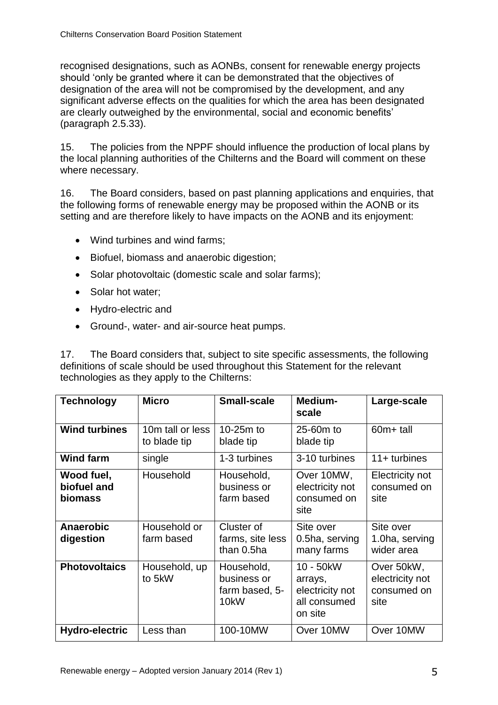recognised designations, such as AONBs, consent for renewable energy projects should 'only be granted where it can be demonstrated that the objectives of designation of the area will not be compromised by the development, and any significant adverse effects on the qualities for which the area has been designated are clearly outweighed by the environmental, social and economic benefits' (paragraph 2.5.33).

15. The policies from the NPPF should influence the production of local plans by the local planning authorities of the Chilterns and the Board will comment on these where necessary.

16. The Board considers, based on past planning applications and enquiries, that the following forms of renewable energy may be proposed within the AONB or its setting and are therefore likely to have impacts on the AONB and its enjoyment:

- Wind turbines and wind farms;
- Biofuel, biomass and anaerobic digestion;
- Solar photovoltaic (domestic scale and solar farms);
- Solar hot water:
- Hydro-electric and
- Ground-, water- and air-source heat pumps.

17. The Board considers that, subject to site specific assessments, the following definitions of scale should be used throughout this Statement for the relevant technologies as they apply to the Chilterns:

| <b>Technology</b>                    | <b>Micro</b>                     | <b>Small-scale</b>                                               | Medium-<br>scale                                                   | Large-scale                                          |
|--------------------------------------|----------------------------------|------------------------------------------------------------------|--------------------------------------------------------------------|------------------------------------------------------|
| <b>Wind turbines</b>                 | 10m tall or less<br>to blade tip | 10-25m to<br>blade tip                                           | 25-60m to<br>blade tip                                             | 60m+ tall                                            |
| <b>Wind farm</b>                     | single                           | 1-3 turbines                                                     | 3-10 turbines                                                      | $11 +$ turbines                                      |
| Wood fuel,<br>biofuel and<br>biomass | Household                        | Household,<br>business or<br>farm based                          | Over 10MW,<br>electricity not<br>consumed on<br>site               | Electricity not<br>consumed on<br>site               |
| <b>Anaerobic</b><br>digestion        | Household or<br>farm based       | Cluster of<br>farms, site less<br>than 0.5ha                     | Site over<br>0.5ha, serving<br>many farms                          | Site over<br>1.0ha, serving<br>wider area            |
| <b>Photovoltaics</b>                 | Household, up<br>to 5kW          | Household,<br>business or<br>farm based, 5-<br>10 <sub>k</sub> W | 10 - 50kW<br>arrays,<br>electricity not<br>all consumed<br>on site | Over 50kW,<br>electricity not<br>consumed on<br>site |
| Hydro-electric                       | Less than                        | 100-10MW                                                         | Over 10MW                                                          | Over 10MW                                            |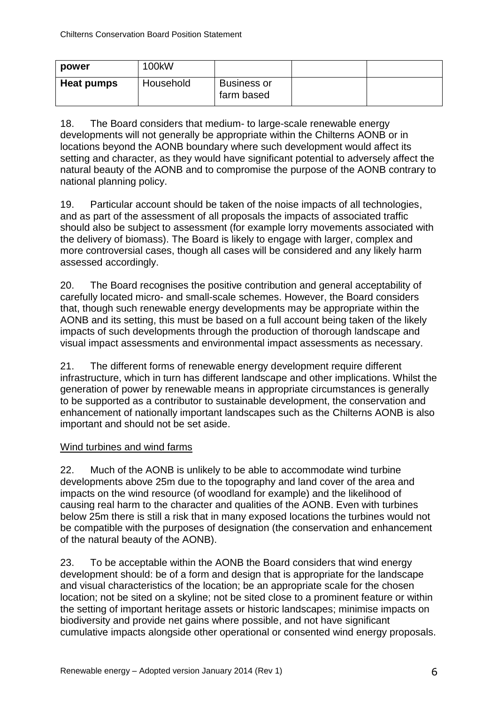| power      | 100kW     |                                  |  |
|------------|-----------|----------------------------------|--|
| Heat pumps | Household | <b>Business or</b><br>farm based |  |

18. The Board considers that medium- to large-scale renewable energy developments will not generally be appropriate within the Chilterns AONB or in locations beyond the AONB boundary where such development would affect its setting and character, as they would have significant potential to adversely affect the natural beauty of the AONB and to compromise the purpose of the AONB contrary to national planning policy.

19. Particular account should be taken of the noise impacts of all technologies, and as part of the assessment of all proposals the impacts of associated traffic should also be subject to assessment (for example lorry movements associated with the delivery of biomass). The Board is likely to engage with larger, complex and more controversial cases, though all cases will be considered and any likely harm assessed accordingly.

20. The Board recognises the positive contribution and general acceptability of carefully located micro- and small-scale schemes. However, the Board considers that, though such renewable energy developments may be appropriate within the AONB and its setting, this must be based on a full account being taken of the likely impacts of such developments through the production of thorough landscape and visual impact assessments and environmental impact assessments as necessary.

21. The different forms of renewable energy development require different infrastructure, which in turn has different landscape and other implications. Whilst the generation of power by renewable means in appropriate circumstances is generally to be supported as a contributor to sustainable development, the conservation and enhancement of nationally important landscapes such as the Chilterns AONB is also important and should not be set aside.

#### Wind turbines and wind farms

22. Much of the AONB is unlikely to be able to accommodate wind turbine developments above 25m due to the topography and land cover of the area and impacts on the wind resource (of woodland for example) and the likelihood of causing real harm to the character and qualities of the AONB. Even with turbines below 25m there is still a risk that in many exposed locations the turbines would not be compatible with the purposes of designation (the conservation and enhancement of the natural beauty of the AONB).

23. To be acceptable within the AONB the Board considers that wind energy development should: be of a form and design that is appropriate for the landscape and visual characteristics of the location; be an appropriate scale for the chosen location; not be sited on a skyline; not be sited close to a prominent feature or within the setting of important heritage assets or historic landscapes; minimise impacts on biodiversity and provide net gains where possible, and not have significant cumulative impacts alongside other operational or consented wind energy proposals.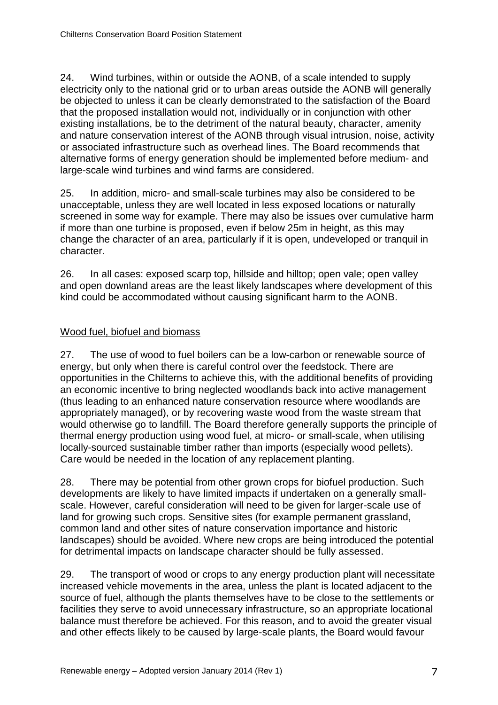24. Wind turbines, within or outside the AONB, of a scale intended to supply electricity only to the national grid or to urban areas outside the AONB will generally be objected to unless it can be clearly demonstrated to the satisfaction of the Board that the proposed installation would not, individually or in conjunction with other existing installations, be to the detriment of the natural beauty, character, amenity and nature conservation interest of the AONB through visual intrusion, noise, activity or associated infrastructure such as overhead lines. The Board recommends that alternative forms of energy generation should be implemented before medium- and large-scale wind turbines and wind farms are considered.

25. In addition, micro- and small-scale turbines may also be considered to be unacceptable, unless they are well located in less exposed locations or naturally screened in some way for example. There may also be issues over cumulative harm if more than one turbine is proposed, even if below 25m in height, as this may change the character of an area, particularly if it is open, undeveloped or tranquil in character.

26. In all cases: exposed scarp top, hillside and hilltop; open vale; open valley and open downland areas are the least likely landscapes where development of this kind could be accommodated without causing significant harm to the AONB.

#### Wood fuel, biofuel and biomass

27. The use of wood to fuel boilers can be a low-carbon or renewable source of energy, but only when there is careful control over the feedstock. There are opportunities in the Chilterns to achieve this, with the additional benefits of providing an economic incentive to bring neglected woodlands back into active management (thus leading to an enhanced nature conservation resource where woodlands are appropriately managed), or by recovering waste wood from the waste stream that would otherwise go to landfill. The Board therefore generally supports the principle of thermal energy production using wood fuel, at micro- or small-scale, when utilising locally-sourced sustainable timber rather than imports (especially wood pellets). Care would be needed in the location of any replacement planting.

28. There may be potential from other grown crops for biofuel production. Such developments are likely to have limited impacts if undertaken on a generally smallscale. However, careful consideration will need to be given for larger-scale use of land for growing such crops. Sensitive sites (for example permanent grassland, common land and other sites of nature conservation importance and historic landscapes) should be avoided. Where new crops are being introduced the potential for detrimental impacts on landscape character should be fully assessed.

29. The transport of wood or crops to any energy production plant will necessitate increased vehicle movements in the area, unless the plant is located adjacent to the source of fuel, although the plants themselves have to be close to the settlements or facilities they serve to avoid unnecessary infrastructure, so an appropriate locational balance must therefore be achieved. For this reason, and to avoid the greater visual and other effects likely to be caused by large-scale plants, the Board would favour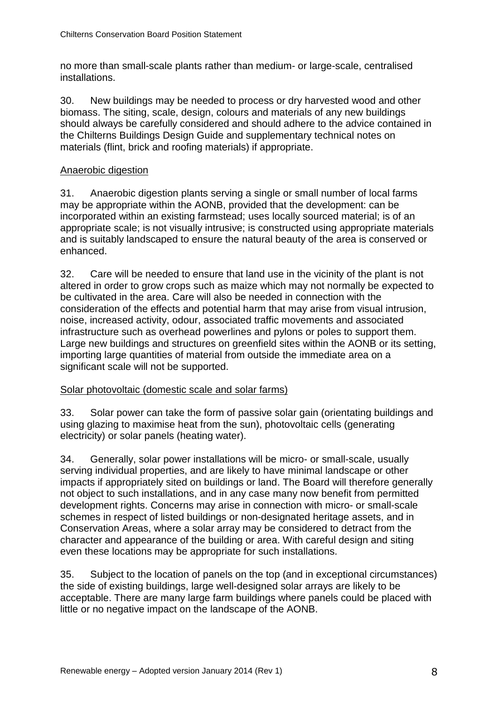no more than small-scale plants rather than medium- or large-scale, centralised installations.

30. New buildings may be needed to process or dry harvested wood and other biomass. The siting, scale, design, colours and materials of any new buildings should always be carefully considered and should adhere to the advice contained in the Chilterns Buildings Design Guide and supplementary technical notes on materials (flint, brick and roofing materials) if appropriate.

#### Anaerobic digestion

31. Anaerobic digestion plants serving a single or small number of local farms may be appropriate within the AONB, provided that the development: can be incorporated within an existing farmstead; uses locally sourced material; is of an appropriate scale; is not visually intrusive; is constructed using appropriate materials and is suitably landscaped to ensure the natural beauty of the area is conserved or enhanced.

32. Care will be needed to ensure that land use in the vicinity of the plant is not altered in order to grow crops such as maize which may not normally be expected to be cultivated in the area. Care will also be needed in connection with the consideration of the effects and potential harm that may arise from visual intrusion, noise, increased activity, odour, associated traffic movements and associated infrastructure such as overhead powerlines and pylons or poles to support them. Large new buildings and structures on greenfield sites within the AONB or its setting, importing large quantities of material from outside the immediate area on a significant scale will not be supported.

#### Solar photovoltaic (domestic scale and solar farms)

33. Solar power can take the form of passive solar gain (orientating buildings and using glazing to maximise heat from the sun), photovoltaic cells (generating electricity) or solar panels (heating water).

34. Generally, solar power installations will be micro- or small-scale, usually serving individual properties, and are likely to have minimal landscape or other impacts if appropriately sited on buildings or land. The Board will therefore generally not object to such installations, and in any case many now benefit from permitted development rights. Concerns may arise in connection with micro- or small-scale schemes in respect of listed buildings or non-designated heritage assets, and in Conservation Areas, where a solar array may be considered to detract from the character and appearance of the building or area. With careful design and siting even these locations may be appropriate for such installations.

35. Subject to the location of panels on the top (and in exceptional circumstances) the side of existing buildings, large well-designed solar arrays are likely to be acceptable. There are many large farm buildings where panels could be placed with little or no negative impact on the landscape of the AONB.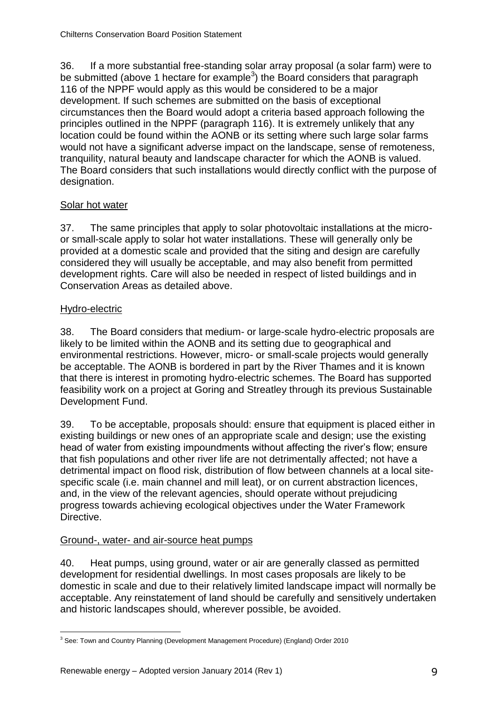36. If a more substantial free-standing solar array proposal (a solar farm) were to be submitted (above 1 hectare for example<sup>3</sup>) the Board considers that paragraph 116 of the NPPF would apply as this would be considered to be a major development. If such schemes are submitted on the basis of exceptional circumstances then the Board would adopt a criteria based approach following the principles outlined in the NPPF (paragraph 116). It is extremely unlikely that any location could be found within the AONB or its setting where such large solar farms would not have a significant adverse impact on the landscape, sense of remoteness, tranquility, natural beauty and landscape character for which the AONB is valued. The Board considers that such installations would directly conflict with the purpose of designation.

# Solar hot water

37. The same principles that apply to solar photovoltaic installations at the microor small-scale apply to solar hot water installations. These will generally only be provided at a domestic scale and provided that the siting and design are carefully considered they will usually be acceptable, and may also benefit from permitted development rights. Care will also be needed in respect of listed buildings and in Conservation Areas as detailed above.

# Hydro-electric

38. The Board considers that medium- or large-scale hydro-electric proposals are likely to be limited within the AONB and its setting due to geographical and environmental restrictions. However, micro- or small-scale projects would generally be acceptable. The AONB is bordered in part by the River Thames and it is known that there is interest in promoting hydro-electric schemes. The Board has supported feasibility work on a project at Goring and Streatley through its previous Sustainable Development Fund.

39. To be acceptable, proposals should: ensure that equipment is placed either in existing buildings or new ones of an appropriate scale and design; use the existing head of water from existing impoundments without affecting the river's flow; ensure that fish populations and other river life are not detrimentally affected; not have a detrimental impact on flood risk, distribution of flow between channels at a local sitespecific scale (i.e. main channel and mill leat), or on current abstraction licences, and, in the view of the relevant agencies, should operate without prejudicing progress towards achieving ecological objectives under the Water Framework Directive.

## Ground-, water- and air-source heat pumps

40. Heat pumps, using ground, water or air are generally classed as permitted development for residential dwellings. In most cases proposals are likely to be domestic in scale and due to their relatively limited landscape impact will normally be acceptable. Any reinstatement of land should be carefully and sensitively undertaken and historic landscapes should, wherever possible, be avoided.

<sup>-</sup><sup>3</sup> See: Town and Country Planning (Development Management Procedure) (England) Order 2010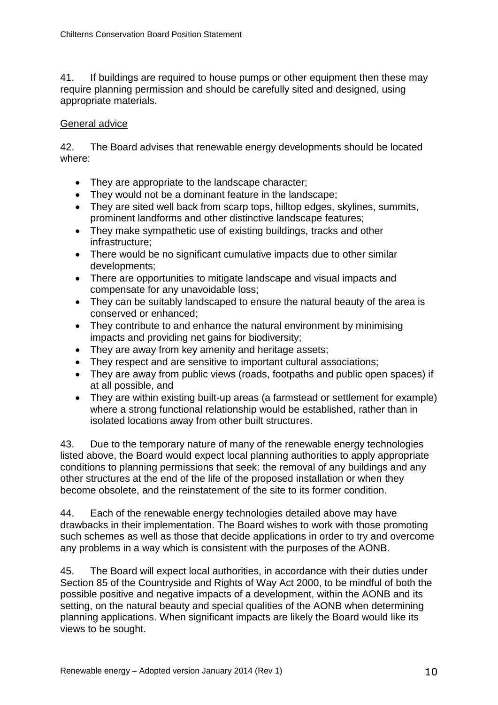41. If buildings are required to house pumps or other equipment then these may require planning permission and should be carefully sited and designed, using appropriate materials.

## General advice

42. The Board advises that renewable energy developments should be located where:

- They are appropriate to the landscape character;
- They would not be a dominant feature in the landscape;
- They are sited well back from scarp tops, hilltop edges, skylines, summits, prominent landforms and other distinctive landscape features;
- They make sympathetic use of existing buildings, tracks and other infrastructure;
- There would be no significant cumulative impacts due to other similar developments;
- There are opportunities to mitigate landscape and visual impacts and compensate for any unavoidable loss;
- They can be suitably landscaped to ensure the natural beauty of the area is conserved or enhanced;
- They contribute to and enhance the natural environment by minimising impacts and providing net gains for biodiversity;
- They are away from key amenity and heritage assets:
- They respect and are sensitive to important cultural associations;
- They are away from public views (roads, footpaths and public open spaces) if at all possible, and
- They are within existing built-up areas (a farmstead or settlement for example) where a strong functional relationship would be established, rather than in isolated locations away from other built structures.

43. Due to the temporary nature of many of the renewable energy technologies listed above, the Board would expect local planning authorities to apply appropriate conditions to planning permissions that seek: the removal of any buildings and any other structures at the end of the life of the proposed installation or when they become obsolete, and the reinstatement of the site to its former condition.

44. Each of the renewable energy technologies detailed above may have drawbacks in their implementation. The Board wishes to work with those promoting such schemes as well as those that decide applications in order to try and overcome any problems in a way which is consistent with the purposes of the AONB.

45. The Board will expect local authorities, in accordance with their duties under Section 85 of the Countryside and Rights of Way Act 2000, to be mindful of both the possible positive and negative impacts of a development, within the AONB and its setting, on the natural beauty and special qualities of the AONB when determining planning applications. When significant impacts are likely the Board would like its views to be sought.